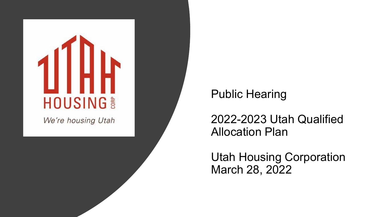

We're housing Utah

## Public Hearing

2022-2023 Utah Qualified Allocation Plan

Utah Housing Corporation March 28, 2022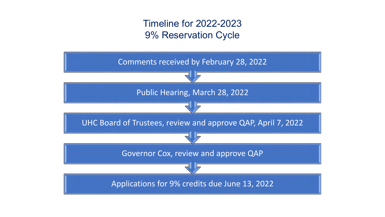## Timeline for 2022-2023 9% Reservation Cycle

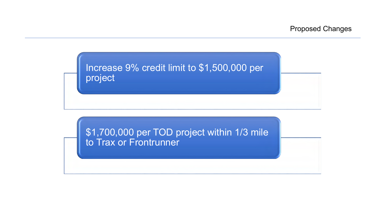

\$1,700,000 per TOD project within 1/3 mile to Trax or Frontrunner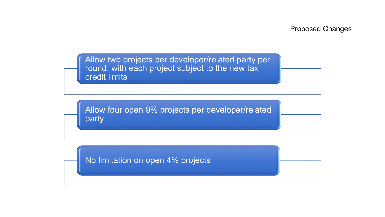Allow two projects per developer/related party per round, with each project subject to the new tax credit limits

Allow four open 9% projects per developer/related party

No limitation on open 4% projects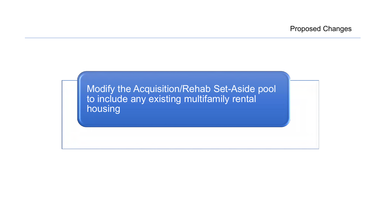Modify the Acquisition/Rehab Set-Aside pool to include any existing multifamily rental housing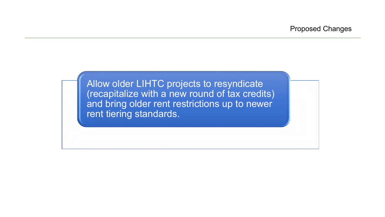Allow older LIHTC projects to resyndicate (recapitalize with a new round of tax credits) and bring older rent restrictions up to newer rent tiering standards.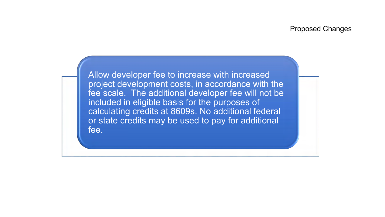Allow developer fee to increase with increased project development costs, in accordance with the fee scale. The additional developer fee will not be included in eligible basis for the purposes of calculating credits at 8609s. No additional federal or state credits may be used to pay for additional fee.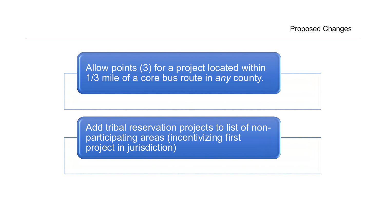Allow points (3) for a project located within 1/3 mile of a core bus route in *any* county.

Add tribal reservation projects to list of nonparticipating areas (incentivizing first project in jurisdiction)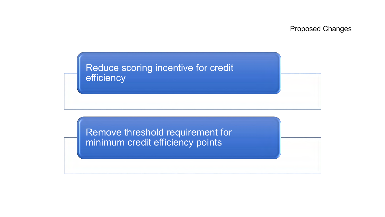

Remove threshold requirement for minimum credit efficiency points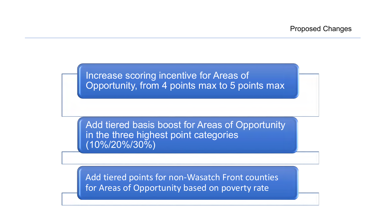Increase scoring incentive for Areas of Opportunity, from 4 points max to 5 points max

Add tiered basis boost for Areas of Opportunity in the three highest point categories (10%/20%/30%)

Add tiered points for non-Wasatch Front counties for Areas of Opportunity based on poverty rate